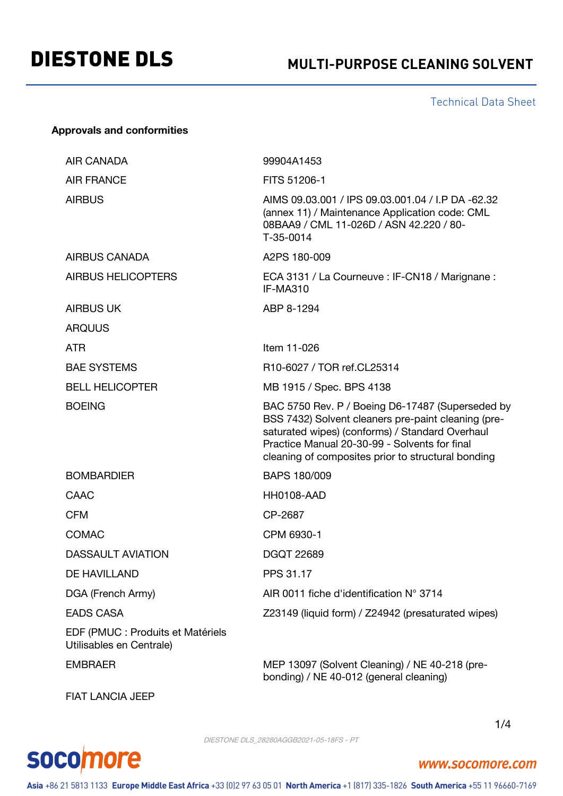# DIESTONE DLS **MULTI-PURPOSE CLEANING SOLVENT**

Technical Data Sheet

#### **Approvals and conformities**

| <b>AIR CANADA</b>                                             | 99904A1453                                                                                                                                                                                                                                                        |
|---------------------------------------------------------------|-------------------------------------------------------------------------------------------------------------------------------------------------------------------------------------------------------------------------------------------------------------------|
| <b>AIR FRANCE</b>                                             | FITS 51206-1                                                                                                                                                                                                                                                      |
| <b>AIRBUS</b>                                                 | AIMS 09.03.001 / IPS 09.03.001.04 / I.P DA -62.32<br>(annex 11) / Maintenance Application code: CML<br>08BAA9 / CML 11-026D / ASN 42.220 / 80-<br>T-35-0014                                                                                                       |
| <b>AIRBUS CANADA</b>                                          | A2PS 180-009                                                                                                                                                                                                                                                      |
| <b>AIRBUS HELICOPTERS</b>                                     | ECA 3131 / La Courneuve : IF-CN18 / Marignane :<br>IF-MA310                                                                                                                                                                                                       |
| <b>AIRBUS UK</b>                                              | ABP 8-1294                                                                                                                                                                                                                                                        |
| <b>ARQUUS</b>                                                 |                                                                                                                                                                                                                                                                   |
| <b>ATR</b>                                                    | Item 11-026                                                                                                                                                                                                                                                       |
| <b>BAE SYSTEMS</b>                                            | R10-6027 / TOR ref.CL25314                                                                                                                                                                                                                                        |
| <b>BELL HELICOPTER</b>                                        | MB 1915 / Spec. BPS 4138                                                                                                                                                                                                                                          |
| <b>BOEING</b>                                                 | BAC 5750 Rev. P / Boeing D6-17487 (Superseded by<br>BSS 7432) Solvent cleaners pre-paint cleaning (pre-<br>saturated wipes) (conforms) / Standard Overhaul<br>Practice Manual 20-30-99 - Solvents for final<br>cleaning of composites prior to structural bonding |
| <b>BOMBARDIER</b>                                             | BAPS 180/009                                                                                                                                                                                                                                                      |
| CAAC                                                          | HH0108-AAD                                                                                                                                                                                                                                                        |
| <b>CFM</b>                                                    | CP-2687                                                                                                                                                                                                                                                           |
| <b>COMAC</b>                                                  | CPM 6930-1                                                                                                                                                                                                                                                        |
| <b>DASSAULT AVIATION</b>                                      | <b>DGQT 22689</b>                                                                                                                                                                                                                                                 |
| DE HAVILLAND                                                  | PPS 31.17                                                                                                                                                                                                                                                         |
| DGA (French Army)                                             | AIR 0011 fiche d'identification N° 3714                                                                                                                                                                                                                           |
| <b>EADS CASA</b>                                              | Z23149 (liquid form) / Z24942 (presaturated wipes)                                                                                                                                                                                                                |
| EDF (PMUC : Produits et Matériels<br>Utilisables en Centrale) |                                                                                                                                                                                                                                                                   |
| <b>CLADDACD</b>                                               | MED 12007 (Colvent Cleaning) $\left($ ME 40, 218 (pro                                                                                                                                                                                                             |

EMBRAER MEP 13097 (Solvent Cleaning) / NE 40-218 (prebonding) / NE 40-012 (general cleaning)

FIAT LANCIA JEEP

**socomore** 

1/4



www.socomore.com

Asia +86 21 5813 1133 Europe Middle East Africa +33 (0)2 97 63 05 01 North America +1 (817) 335-1826 South America +55 11 96660-7169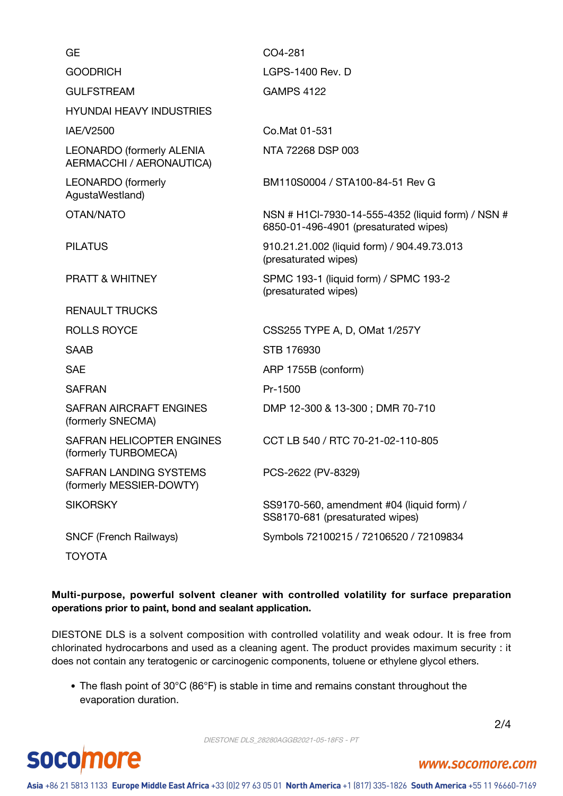| <b>GE</b>                                                     | CO4-281                                                                                    |
|---------------------------------------------------------------|--------------------------------------------------------------------------------------------|
| <b>GOODRICH</b>                                               | <b>LGPS-1400 Rev. D</b>                                                                    |
| <b>GULFSTREAM</b>                                             | <b>GAMPS 4122</b>                                                                          |
| <b>HYUNDAI HEAVY INDUSTRIES</b>                               |                                                                                            |
| IAE/V2500                                                     | Co.Mat 01-531                                                                              |
| <b>LEONARDO (formerly ALENIA)</b><br>AERMACCHI / AERONAUTICA) | NTA 72268 DSP 003                                                                          |
| <b>LEONARDO</b> (formerly<br>AgustaWestland)                  | BM110S0004 / STA100-84-51 Rev G                                                            |
| OTAN/NATO                                                     | NSN # H1Cl-7930-14-555-4352 (liquid form) / NSN #<br>6850-01-496-4901 (presaturated wipes) |
| <b>PILATUS</b>                                                | 910.21.21.002 (liquid form) / 904.49.73.013<br>(presaturated wipes)                        |
| <b>PRATT &amp; WHITNEY</b>                                    | SPMC 193-1 (liquid form) / SPMC 193-2<br>(presaturated wipes)                              |
| <b>RENAULT TRUCKS</b>                                         |                                                                                            |
| <b>ROLLS ROYCE</b>                                            | CSS255 TYPE A, D, OMat 1/257Y                                                              |
| <b>SAAB</b>                                                   | STB 176930                                                                                 |
| <b>SAE</b>                                                    | ARP 1755B (conform)                                                                        |
| <b>SAFRAN</b>                                                 | Pr-1500                                                                                    |
| SAFRAN AIRCRAFT ENGINES<br>(formerly SNECMA)                  | DMP 12-300 & 13-300; DMR 70-710                                                            |
| SAFRAN HELICOPTER ENGINES<br>(formerly TURBOMECA)             | CCT LB 540 / RTC 70-21-02-110-805                                                          |
| <b>SAFRAN LANDING SYSTEMS</b><br>(formerly MESSIER-DOWTY)     | PCS-2622 (PV-8329)                                                                         |
| <b>SIKORSKY</b>                                               | SS9170-560, amendment #04 (liquid form) /<br>SS8170-681 (presaturated wipes)               |
| <b>SNCF (French Railways)</b>                                 | Symbols 72100215 / 72106520 / 72109834                                                     |
| TOYOTA                                                        |                                                                                            |

#### **Multi-purpose, powerful solvent cleaner with controlled volatility for surface preparation operations prior to paint, bond and sealant application.**

DIESTONE DLS is a solvent composition with controlled volatility and weak odour. It is free from chlorinated hydrocarbons and used as a cleaning agent. The product provides maximum security : it does not contain any teratogenic or carcinogenic components, toluene or ethylene glycol ethers.

The flash point of 30°C (86°F) is stable in time and remains constant throughout the evaporation duration.

2/4



www.socomore.com

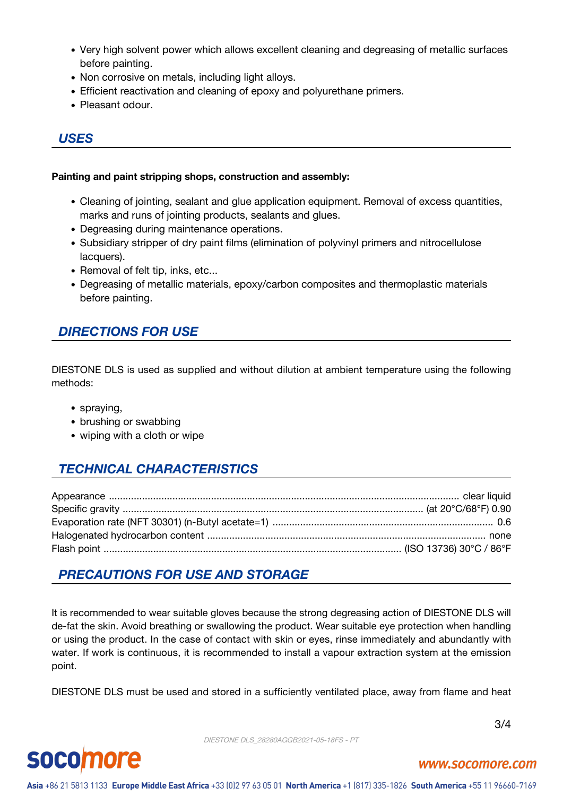- Very high solvent power which allows excellent cleaning and degreasing of metallic surfaces before painting.
- Non corrosive on metals, including light alloys.
- Efficient reactivation and cleaning of epoxy and polyurethane primers.
- Pleasant odour.

#### *USES*

#### **Painting and paint stripping shops, construction and assembly:**

- Cleaning of jointing, sealant and glue application equipment. Removal of excess quantities, marks and runs of jointing products, sealants and glues.
- Degreasing during maintenance operations.
- Subsidiary stripper of dry paint films (elimination of polyvinyl primers and nitrocellulose lacquers).
- Removal of felt tip, inks, etc...
- Degreasing of metallic materials, epoxy/carbon composites and thermoplastic materials before painting.

#### *DIRECTIONS FOR USE*

DIESTONE DLS is used as supplied and without dilution at ambient temperature using the following methods:

- spraying,
- brushing or swabbing
- wiping with a cloth or wipe

## *TECHNICAL CHARACTERISTICS*

### *PRECAUTIONS FOR USE AND STORAGE*

It is recommended to wear suitable gloves because the strong degreasing action of DIESTONE DLS will de-fat the skin. Avoid breathing or swallowing the product. Wear suitable eye protection when handling or using the product. In the case of contact with skin or eyes, rinse immediately and abundantly with water. If work is continuous, it is recommended to install a vapour extraction system at the emission point.

DIESTONE DLS must be used and stored in a sufficiently ventilated place, away from flame and heat

3/4

DIESTONE DLS\_28280AGGB2021-05-18FS - PT



#### www.socomore.com

Asia +86 21 5813 1133 Europe Middle East Africa +33 (0)2 97 63 05 01 North America +1 (817) 335-1826 South America +55 11 96660-7169